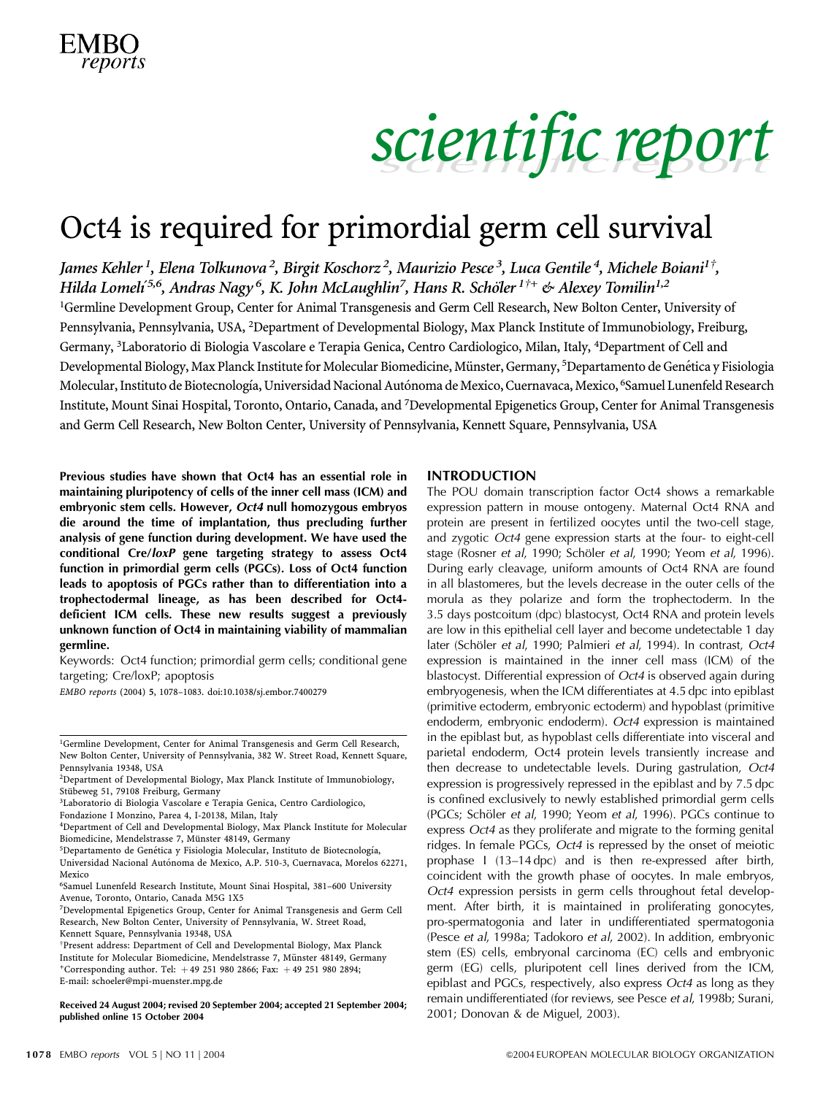### Oct4 is required for primordial germ cell survival

James Kehler <sup>1</sup>, Elena Tolkunova <sup>2</sup>, Birgit Koschorz <sup>2</sup>, Maurizio Pesce <sup>3</sup>, Luca Gentile <sup>4</sup>, Michele Boiani<sup>1†</sup>, Hilda Lomelí<sup>5,6</sup>, Andras Nagy <sup>6</sup>, K. John McLaughlin<sup>7</sup>, Hans R. Schöler <sup>1†+</sup> & Alexey Tomilin<sup>1,2</sup>

<sup>1</sup>Germline Development Group, Center for Animal Transgenesis and Germ Cell Research, New Bolton Center, University of Pennsylvania, Pennsylvania, USA, <sup>2</sup>Department of Developmental Biology, Max Planck Institute of Immunobiology, Freiburg, Germany, <sup>3</sup>Laboratorio di Biologia Vascolare e Terapia Genica, Centro Cardiologico, Milan, Italy, <sup>4</sup>Department of Cell and Developmental Biology, Max Planck Institute for Molecular Biomedicine, Münster, Germany, <sup>5</sup>Departamento de Genética y Fisiologia Molecular, Instituto de Biotecnología, Universidad Nacional Autónoma de Mexico, Cuernavaca, Mexico, <sup>6</sup>Samuel Lunenfeld Research Institute, Mount Sinai Hospital, Toronto, Ontario, Canada, and <sup>7</sup> Developmental Epigenetics Group, Center for Animal Transgenesis and Germ Cell Research, New Bolton Center, University of Pennsylvania, Kennett Square, Pennsylvania, USA

Previous studies have shown that Oct4 has an essential role in maintaining pluripotency of cells of the inner cell mass (ICM) and embryonic stem cells. However, Oct4 null homozygous embryos die around the time of implantation, thus precluding further analysis of gene function during development. We have used the conditional Cre/loxP gene targeting strategy to assess Oct4 function in primordial germ cells (PGCs). Loss of Oct4 function leads to apoptosis of PGCs rather than to differentiation into a trophectodermal lineage, as has been described for Oct4 deficient ICM cells. These new results suggest a previously unknown function of Oct4 in maintaining viability of mammalian germline.

Keywords: Oct4 function; primordial germ cells; conditional gene targeting; Cre/loxP; apoptosis

EMBO reports (2004) 5, 1078–1083. doi:10.1038/sj.embor.7400279

2001; Received 24 August 2004; revised 20 September 2004; accepted 21 September 2004; refinally diffusived online 15 October 2004<br>2001; Donovan & de Miguel, 2003). published online 15 October 2004

#### INTRODUCTION

The POU domain transcription factor Oct4 shows a remarkable expression pattern in mouse ontogeny. Maternal Oct4 RNA and protein are present in fertilized oocytes until the two-cell stage, and zygotic Oct4 gene expression starts at the four- to eight-cell stage (Rosner et al, 1990; Schöler et al, 1990; Yeom et al, 1996). During early cleavage, uniform amounts of Oct4 RNA are found in all blastomeres, but the levels decrease in the outer cells of the morula as they polarize and form the trophectoderm. In the 3.5 days postcoitum (dpc) blastocyst, Oct4 RNA and protein levels are low in this epithelial cell layer and become undetectable 1 day later (Schöler et al, 1990; Palmieri et al, 1994). In contrast, Oct4 expression is maintained in the inner cell mass (ICM) of the blastocyst. Differential expression of Oct4 is observed again during embryogenesis, when the ICM differentiates at 4.5 dpc into epiblast (primitive ectoderm, embryonic ectoderm) and hypoblast (primitive endoderm, embryonic endoderm). Oct4 expression is maintained in the epiblast but, as hypoblast cells differentiate into visceral and parietal endoderm, Oct4 protein levels transiently increase and then decrease to undetectable levels. During gastrulation, Oct4 expression is progressively repressed in the epiblast and by 7.5 dpc is confined exclusively to newly established primordial germ cells (PGCs; Schöler et al, 1990; Yeom et al, 1996). PGCs continue to express Oct4 as they proliferate and migrate to the forming genital ridges. In female PGCs, Oct4 is repressed by the onset of meiotic prophase I (13–14 dpc) and is then re-expressed after birth, coincident with the growth phase of oocytes. In male embryos, Oct4 expression persists in germ cells throughout fetal development. After birth, it is maintained in proliferating gonocytes, pro-spermatogonia and later in undifferentiated spermatogonia (Pesce et al, 1998a; Tadokoro et al, 2002). In addition, embryonic stem (ES) cells, embryonal carcinoma (EC) cells and embryonic germ (EG) cells, pluripotent cell lines derived from the ICM, epiblast and PGCs, respectively, also express Oct4 as long as they remain undifferentiated (for reviews, see Pesce et al, 1998b; Surani,

<sup>&</sup>lt;sup>1</sup>Germline Development, Center for Animal Transgenesis and Germ Cell Research, New Bolton Center, University of Pennsylvania, 382 W. Street Road, Kennett Square, Pennsylvania 19348, USA

<sup>2</sup> Department of Developmental Biology, Max Planck Institute of Immunobiology, Stübeweg 51, 79108 Freiburg, Germany

<sup>3</sup> Laboratorio di Biologia Vascolare e Terapia Genica, Centro Cardiologico,

Fondazione I Monzino, Parea 4, I-20138, Milan, Italy

<sup>4</sup> Department of Cell and Developmental Biology, Max Planck Institute for Molecular Biomedicine, Mendelstrasse 7, Münster 48149, Germany

<sup>&</sup>lt;sup>5</sup>Departamento de Genética y Fisiologia Molecular, Instituto de Biotecnología, Universidad Nacional Autónoma de Mexico, A.P. 510-3, Cuernavaca, Morelos 62271, Mexico

<sup>6</sup> Samuel Lunenfeld Research Institute, Mount Sinai Hospital, 381–600 University Avenue, Toronto, Ontario, Canada M5G 1X5

<sup>7</sup> Developmental Epigenetics Group, Center for Animal Transgenesis and Germ Cell Research, New Bolton Center, University of Pennsylvania, W. Street Road, Kennett Square, Pennsylvania 19348, USA

<sup>+</sup>Corresponding author. Tel:  $+49$  251 980 2866; Fax:  $+49$  251 980 2894; E-mail: schoeler@mpi-muenster.mpg.de  $^\dagger$ Present address: Department of Cell and Developmental Biology, Max Planck Institute for Molecular Biomedicine, Mendelstrasse 7, Münster 48149, Germany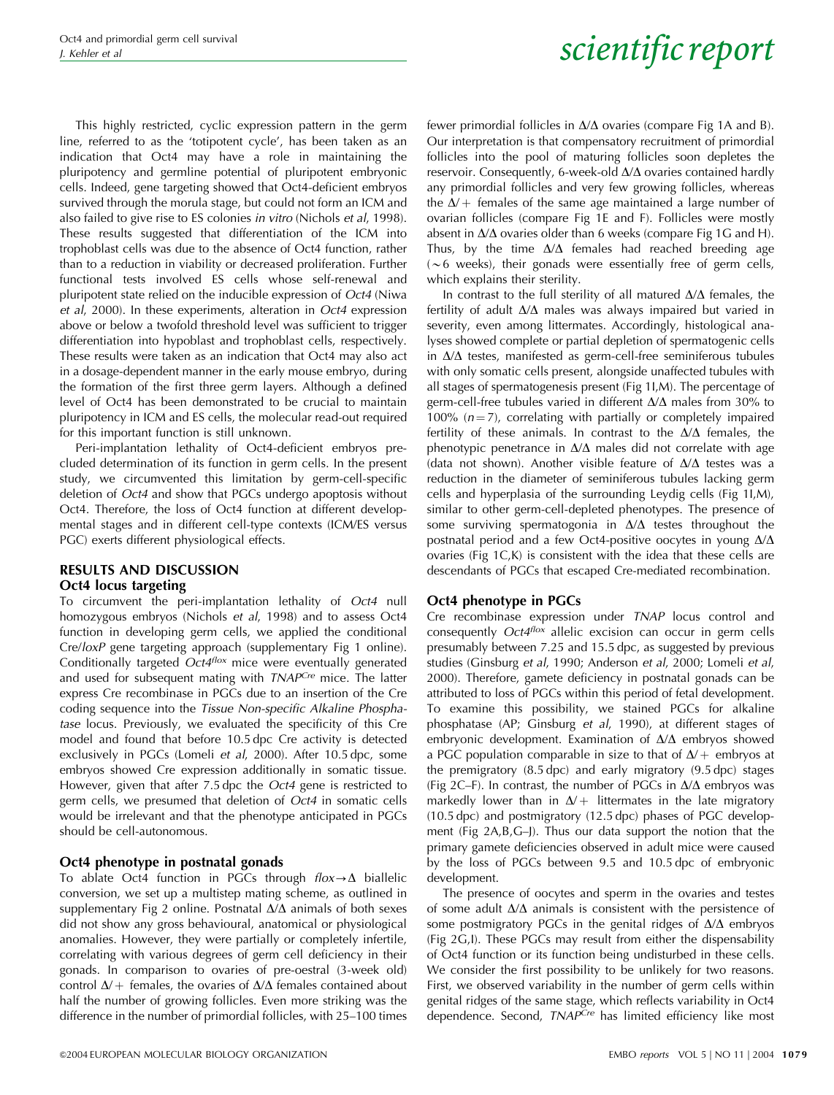This highly restricted, cyclic expression pattern in the germ line, referred to as the 'totipotent cycle', has been taken as an indication that Oct4 may have a role in maintaining the pluripotency and germline potential of pluripotent embryonic cells. Indeed, gene targeting showed that Oct4-deficient embryos survived through the morula stage, but could not form an ICM and also failed to give rise to ES colonies in vitro (Nichols et al, 1998). These results suggested that differentiation of the ICM into trophoblast cells was due to the absence of Oct4 function, rather than to a reduction in viability or decreased proliferation. Further functional tests involved ES cells whose self-renewal and pluripotent state relied on the inducible expression of Oct4 (Niwa et al, 2000). In these experiments, alteration in Oct4 expression above or below a twofold threshold level was sufficient to trigger differentiation into hypoblast and trophoblast cells, respectively. These results were taken as an indication that Oct4 may also act in a dosage-dependent manner in the early mouse embryo, during the formation of the first three germ layers. Although a defined level of Oct4 has been demonstrated to be crucial to maintain pluripotency in ICM and ES cells, the molecular read-out required for this important function is still unknown.

Peri-implantation lethality of Oct4-deficient embryos precluded determination of its function in germ cells. In the present study, we circumvented this limitation by germ-cell-specific deletion of Oct4 and show that PGCs undergo apoptosis without Oct4. Therefore, the loss of Oct4 function at different developmental stages and in different cell-type contexts (ICM/ES versus PGC) exerts different physiological effects.

### RESULTS AND DISCUSSION Oct4 locus targeting

To circumvent the peri-implantation lethality of Oct4 null homozygous embryos (Nichols et al, 1998) and to assess Oct4 function in developing germ cells, we applied the conditional Cre/loxP gene targeting approach (supplementary Fig 1 online). Conditionally targeted Oct4<sup>flox</sup> mice were eventually generated and used for subsequent mating with TNAPCre mice. The latter express Cre recombinase in PGCs due to an insertion of the Cre coding sequence into the Tissue Non-specific Alkaline Phosphatase locus. Previously, we evaluated the specificity of this Cre model and found that before 10.5 dpc Cre activity is detected exclusively in PGCs (Lomeli et al, 2000). After 10.5 dpc, some embryos showed Cre expression additionally in somatic tissue. However, given that after 7.5 dpc the Oct4 gene is restricted to germ cells, we presumed that deletion of Oct4 in somatic cells would be irrelevant and that the phenotype anticipated in PGCs should be cell-autonomous.

### Oct4 phenotype in postnatal gonads

To ablate Oct4 function in PGCs through  $flox \rightarrow \Delta$  biallelic conversion, we set up a multistep mating scheme, as outlined in supplementary Fig 2 online. Postnatal  $\Delta/\Delta$  animals of both sexes did not show any gross behavioural, anatomical or physiological anomalies. However, they were partially or completely infertile, correlating with various degrees of germ cell deficiency in their gonads. In comparison to ovaries of pre-oestral (3-week old) control  $\Delta$ / + females, the ovaries of  $\Delta/\Delta$  females contained about half the number of growing follicles. Even more striking was the difference in the number of primordial follicles, with 25–100 times fewer primordial follicles in  $\Delta/\Delta$  ovaries (compare Fig 1A and B). Our interpretation is that compensatory recruitment of primordial follicles into the pool of maturing follicles soon depletes the reservoir. Consequently, 6-week-old  $\Delta/\Delta$  ovaries contained hardly any primordial follicles and very few growing follicles, whereas the  $\Delta$ / + females of the same age maintained a large number of ovarian follicles (compare Fig 1E and F). Follicles were mostly absent in  $\Delta/\Delta$  ovaries older than 6 weeks (compare Fig 1G and H). Thus, by the time  $\Delta/\Delta$  females had reached breeding age  $({\sim}6$  weeks), their gonads were essentially free of germ cells, which explains their sterility.

In contrast to the full sterility of all matured  $\Delta/\Delta$  females, the fertility of adult  $\Delta/\Delta$  males was always impaired but varied in severity, even among littermates. Accordingly, histological analyses showed complete or partial depletion of spermatogenic cells in  $\Delta/\Delta$  testes, manifested as germ-cell-free seminiferous tubules with only somatic cells present, alongside unaffected tubules with all stages of spermatogenesis present (Fig 1I,M). The percentage of germ-cell-free tubules varied in different  $\Delta/\Delta$  males from 30% to 100%  $(n = 7)$ , correlating with partially or completely impaired fertility of these animals. In contrast to the  $\Delta/\Delta$  females, the phenotypic penetrance in  $\Delta/\Delta$  males did not correlate with age (data not shown). Another visible feature of  $\Delta/\Delta$  testes was a reduction in the diameter of seminiferous tubules lacking germ cells and hyperplasia of the surrounding Leydig cells (Fig 1I,M), similar to other germ-cell-depleted phenotypes. The presence of some surviving spermatogonia in  $\Delta/\Delta$  testes throughout the postnatal period and a few Oct4-positive oocytes in young  $\Delta/\Delta$ ovaries (Fig 1C,K) is consistent with the idea that these cells are descendants of PGCs that escaped Cre-mediated recombination.

### Oct4 phenotype in PGCs

Cre recombinase expression under TNAP locus control and consequently  $Oct4$ <sup>flox</sup> allelic excision can occur in germ cells presumably between 7.25 and 15.5 dpc, as suggested by previous studies (Ginsburg et al, 1990; Anderson et al, 2000; Lomeli et al, 2000). Therefore, gamete deficiency in postnatal gonads can be attributed to loss of PGCs within this period of fetal development. To examine this possibility, we stained PGCs for alkaline phosphatase (AP; Ginsburg et al, 1990), at different stages of embryonic development. Examination of  $\Delta/\Delta$  embryos showed a PGC population comparable in size to that of  $\Delta/$  + embryos at the premigratory (8.5 dpc) and early migratory (9.5 dpc) stages (Fig 2C–F). In contrast, the number of PGCs in  $\Delta/\Delta$  embryos was markedly lower than in  $\Delta$ / + littermates in the late migratory (10.5 dpc) and postmigratory (12.5 dpc) phases of PGC development (Fig 2A,B,G–J). Thus our data support the notion that the primary gamete deficiencies observed in adult mice were caused by the loss of PGCs between 9.5 and 10.5 dpc of embryonic development.

The presence of oocytes and sperm in the ovaries and testes of some adult  $\Delta/\Delta$  animals is consistent with the persistence of some postmigratory PGCs in the genital ridges of  $\Delta/\Delta$  embryos (Fig 2G,I). These PGCs may result from either the dispensability of Oct4 function or its function being undisturbed in these cells. We consider the first possibility to be unlikely for two reasons. First, we observed variability in the number of germ cells within genital ridges of the same stage, which reflects variability in Oct4 dependence. Second, TNAPCre has limited efficiency like most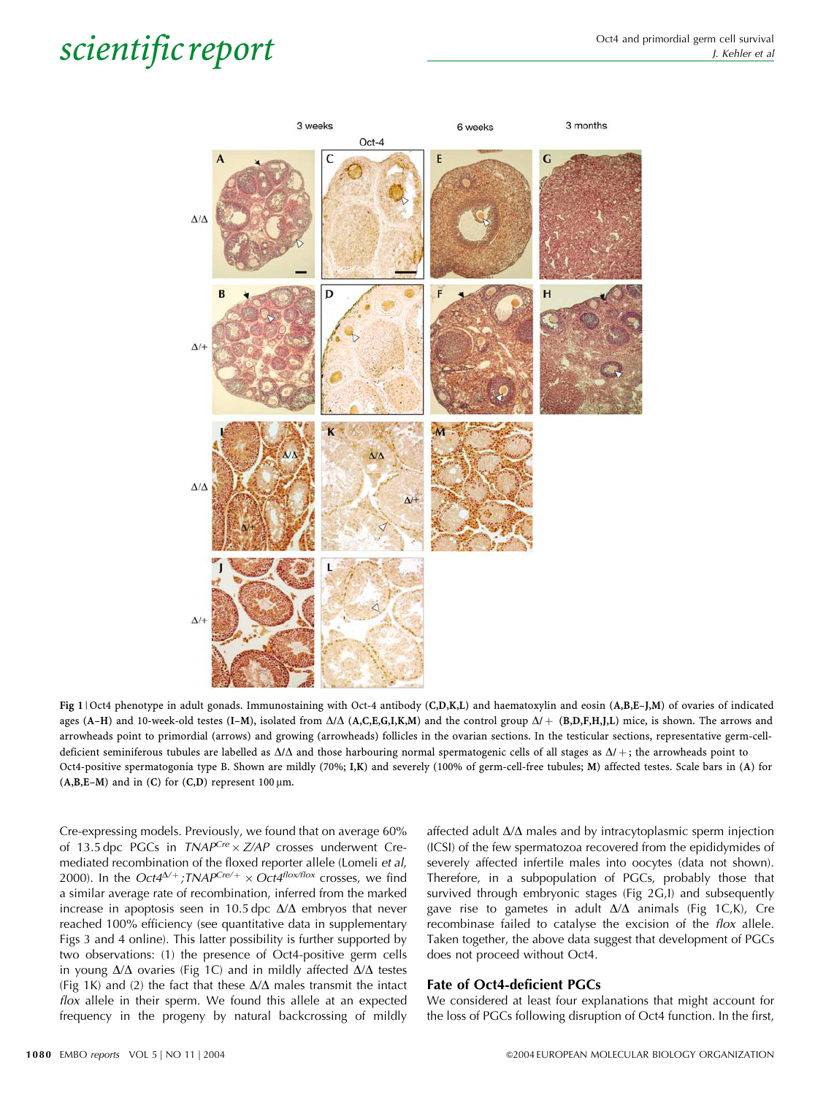

Fig 1 | Oct4 phenotype in adult gonads. Immunostaining with Oct-4 antibody (C,D,K,L) and haematoxylin and eosin (A,B,E–J,M) of ovaries of indicated ages (A–H) and 10-week-old testes (I–M), isolated from  $\Delta/\Delta$  (A,C,E,G,I,K,M) and the control group  $\Delta/$  + (B,D,F,H,J,L) mice, is shown. The arrows and arrowheads point to primordial (arrows) and growing (arrowheads) follicles in the ovarian sections. In the testicular sections, representative germ-celldeficient seminiferous tubules are labelled as  $\Delta/\Delta$  and those harbouring normal spermatogenic cells of all stages as  $\Delta/$  +; the arrowheads point to Oct4-positive spermatogonia type B. Shown are mildly (70%; I,K) and severely (100% of germ-cell-free tubules; M) affected testes. Scale bars in (A) for  $(A,B,E-M)$  and in  $(C)$  for  $(C,D)$  represent 100  $\mu$ m.

Cre-expressing models. Previously, we found that on average 60% of 13.5 dpc PGCs in  $TNAP^{Cre} \times ZAP$  crosses underwent Cremediated recombination of the floxed reporter allele (Lomeli et al, 2000). In the Oct4<sup> $\Delta/$ +</sup>;TNAP<sup>Cre/+</sup> × Oct4<sup>flox/flox</sup> crosses, we find a similar average rate of recombination, inferred from the marked increase in apoptosis seen in 10.5 dpc  $\Delta/\Delta$  embryos that never reached 100% efficiency (see quantitative data in supplementary Figs 3 and 4 online). This latter possibility is further supported by two observations: (1) the presence of Oct4-positive germ cells in young  $\Delta/\Delta$  ovaries (Fig 1C) and in mildly affected  $\Delta/\Delta$  testes (Fig 1K) and (2) the fact that these  $\Delta/\Delta$  males transmit the intact flox allele in their sperm. We found this allele at an expected frequency in the progeny by natural backcrossing of mildly affected adult  $\Delta/\Delta$  males and by intracytoplasmic sperm injection (ICSI) of the few spermatozoa recovered from the epididymides of severely affected infertile males into oocytes (data not shown). Therefore, in a subpopulation of PGCs, probably those that survived through embryonic stages (Fig 2G,I) and subsequently gave rise to gametes in adult  $\Delta/\Delta$  animals (Fig 1C,K), Cre recombinase failed to catalyse the excision of the flox allele. Taken together, the above data suggest that development of PGCs does not proceed without Oct4.

### Fate of Oct4-deficient PGCs

We considered at least four explanations that might account for the loss of PGCs following disruption of Oct4 function. In the first,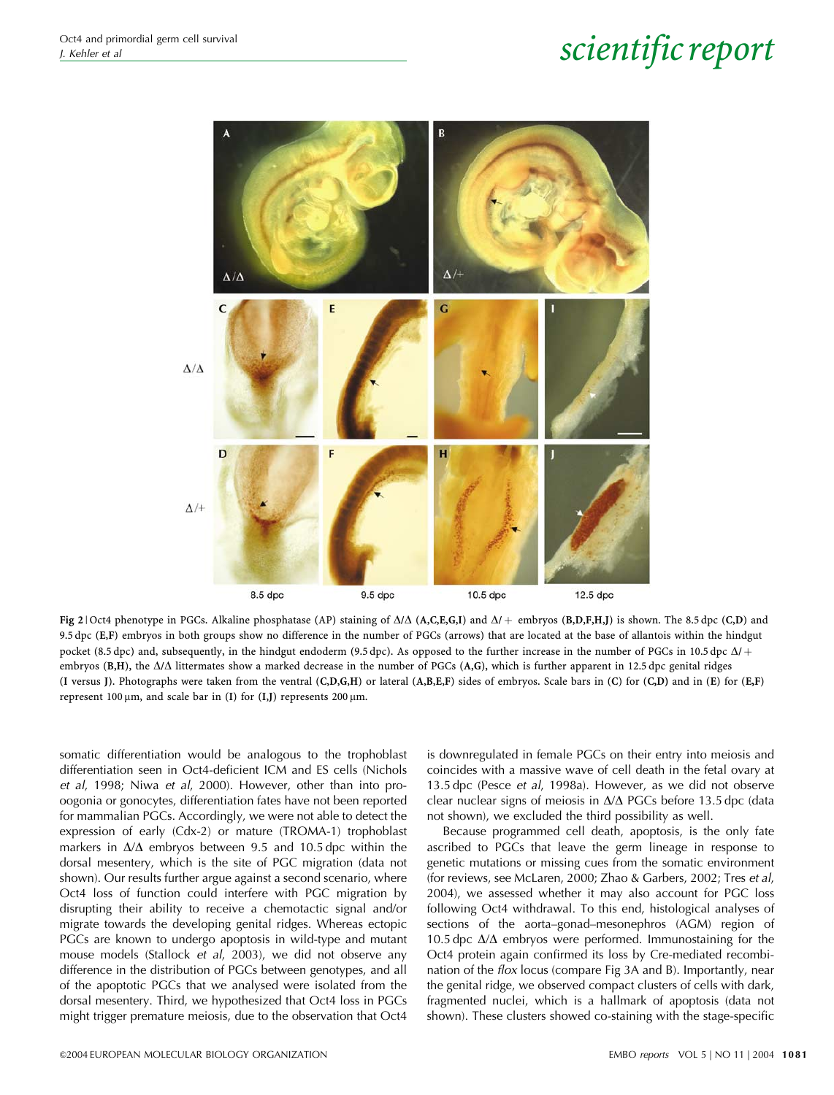

Fig 2 | Oct4 phenotype in PGCs. Alkaline phosphatase (AP) staining of  $\Delta/\Delta$  (A,C,E,G,I) and  $\Delta/+$  embryos (B,D,F,H,J) is shown. The 8.5 dpc (C,D) and 9.5 dpc (E,F) embryos in both groups show no difference in the number of PGCs (arrows) that are located at the base of allantois within the hindgut pocket (8.5 dpc) and, subsequently, in the hindgut endoderm (9.5 dpc). As opposed to the further increase in the number of PGCs in 10.5 dpc  $\Delta t$  + embryos  $(B,H)$ , the  $\Delta/\Delta$  littermates show a marked decrease in the number of PGCs  $(A,G)$ , which is further apparent in 12.5 dpc genital ridges (I versus J). Photographs were taken from the ventral (C,D,G,H) or lateral (A,B,E,F) sides of embryos. Scale bars in (C) for (C,D) and in (E) for (E,F) represent 100  $\mu$ m, and scale bar in (I) for (I,J) represents 200  $\mu$ m.

somatic differentiation would be analogous to the trophoblast differentiation seen in Oct4-deficient ICM and ES cells (Nichols et al, 1998; Niwa et al, 2000). However, other than into prooogonia or gonocytes, differentiation fates have not been reported for mammalian PGCs. Accordingly, we were not able to detect the expression of early (Cdx-2) or mature (TROMA-1) trophoblast markers in  $\Delta/\Delta$  embryos between 9.5 and 10.5 dpc within the dorsal mesentery, which is the site of PGC migration (data not shown). Our results further argue against a second scenario, where Oct4 loss of function could interfere with PGC migration by disrupting their ability to receive a chemotactic signal and/or migrate towards the developing genital ridges. Whereas ectopic PGCs are known to undergo apoptosis in wild-type and mutant mouse models (Stallock et al, 2003), we did not observe any difference in the distribution of PGCs between genotypes, and all of the apoptotic PGCs that we analysed were isolated from the dorsal mesentery. Third, we hypothesized that Oct4 loss in PGCs might trigger premature meiosis, due to the observation that Oct4

is downregulated in female PGCs on their entry into meiosis and coincides with a massive wave of cell death in the fetal ovary at 13.5 dpc (Pesce et al, 1998a). However, as we did not observe clear nuclear signs of meiosis in  $\Delta/\Delta$  PGCs before 13.5 dpc (data not shown), we excluded the third possibility as well.

Because programmed cell death, apoptosis, is the only fate ascribed to PGCs that leave the germ lineage in response to genetic mutations or missing cues from the somatic environment (for reviews, see McLaren, 2000; Zhao & Garbers, 2002; Tres et al, 2004), we assessed whether it may also account for PGC loss following Oct4 withdrawal. To this end, histological analyses of sections of the aorta–gonad–mesonephros (AGM) region of 10.5 dpc  $\Delta/\Delta$  embryos were performed. Immunostaining for the Oct4 protein again confirmed its loss by Cre-mediated recombination of the flox locus (compare Fig 3A and B). Importantly, near the genital ridge, we observed compact clusters of cells with dark, fragmented nuclei, which is a hallmark of apoptosis (data not shown). These clusters showed co-staining with the stage-specific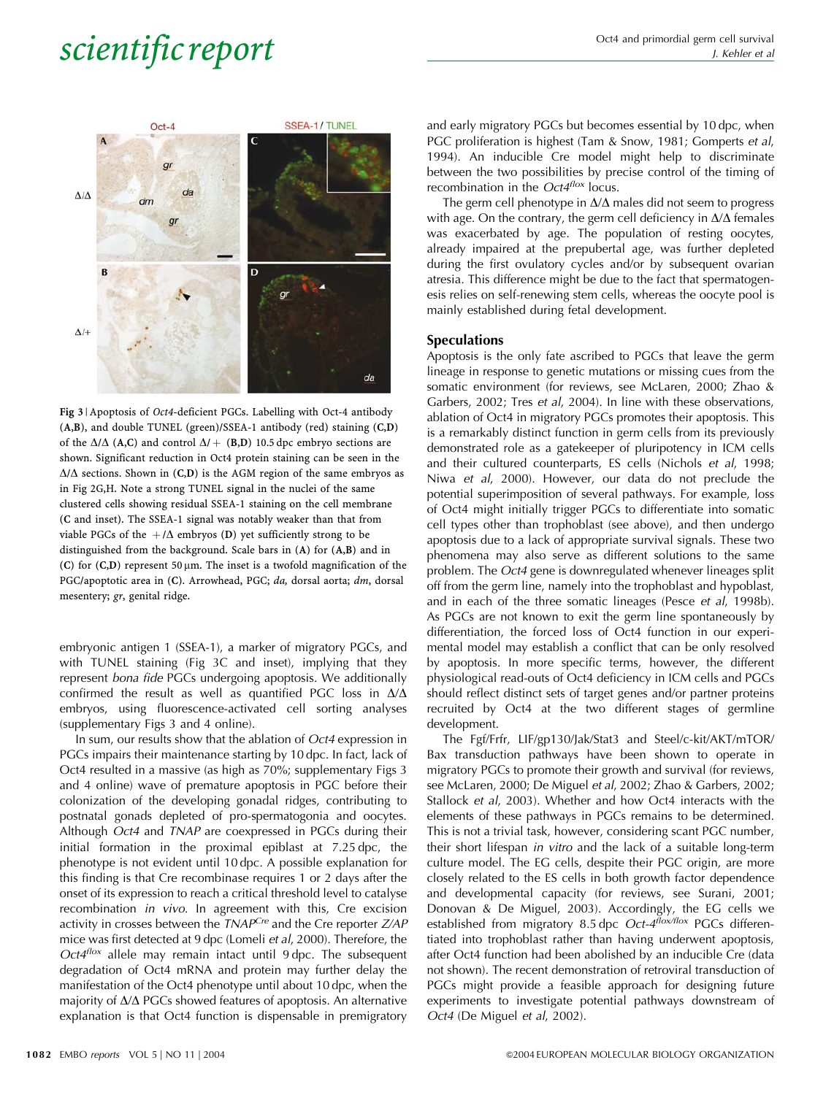

Fig 3 | Apoptosis of Oct4-deficient PGCs. Labelling with Oct-4 antibody (A,B), and double TUNEL (green)/SSEA-1 antibody (red) staining (C,D) of the  $\Delta/\Delta$  (A,C) and control  $\Delta/$  + (B,D) 10.5 dpc embryo sections are shown. Significant reduction in Oct4 protein staining can be seen in the  $\Delta/\Delta$  sections. Shown in (C,D) is the AGM region of the same embryos as in Fig 2G,H. Note a strong TUNEL signal in the nuclei of the same clustered cells showing residual SSEA-1 staining on the cell membrane (C and inset). The SSEA-1 signal was notably weaker than that from viable PGCs of the  $+/\Delta$  embryos (D) yet sufficiently strong to be distinguished from the background. Scale bars in (A) for (A,B) and in (C) for  $(C,D)$  represent 50  $\mu$ m. The inset is a twofold magnification of the PGC/apoptotic area in (C). Arrowhead, PGC; da, dorsal aorta; dm, dorsal mesentery; gr, genital ridge.

embryonic antigen 1 (SSEA-1), a marker of migratory PGCs, and with TUNEL staining (Fig 3C and inset), implying that they represent bona fide PGCs undergoing apoptosis. We additionally confirmed the result as well as quantified PGC loss in  $\Delta/\Delta$ embryos, using fluorescence-activated cell sorting analyses (supplementary Figs 3 and 4 online).

In sum, our results show that the ablation of Oct4 expression in PGCs impairs their maintenance starting by 10 dpc. In fact, lack of Oct4 resulted in a massive (as high as 70%; supplementary Figs 3 and 4 online) wave of premature apoptosis in PGC before their colonization of the developing gonadal ridges, contributing to postnatal gonads depleted of pro-spermatogonia and oocytes. Although Oct4 and TNAP are coexpressed in PGCs during their initial formation in the proximal epiblast at 7.25 dpc, the phenotype is not evident until 10 dpc. A possible explanation for this finding is that Cre recombinase requires 1 or 2 days after the onset of its expression to reach a critical threshold level to catalyse recombination in vivo. In agreement with this, Cre excision activity in crosses between the  $TNAP^{Cre}$  and the Cre reporter  $ZAP$ mice was first detected at 9 dpc (Lomeli et al, 2000). Therefore, the  $Oct4$ flox allele may remain intact until  $9$  dpc. The subsequent degradation of Oct4 mRNA and protein may further delay the manifestation of the Oct4 phenotype until about 10 dpc, when the majority of  $\Delta/\Delta$  PGCs showed features of apoptosis. An alternative explanation is that Oct4 function is dispensable in premigratory

and early migratory PGCs but becomes essential by 10 dpc, when PGC proliferation is highest (Tam & Snow, 1981; Gomperts et al, 1994). An inducible Cre model might help to discriminate between the two possibilities by precise control of the timing of recombination in the  $Oct4<sup>flox</sup>$  locus.

The germ cell phenotype in  $\Delta/\Delta$  males did not seem to progress with age. On the contrary, the germ cell deficiency in  $\Delta/\Delta$  females was exacerbated by age. The population of resting oocytes, already impaired at the prepubertal age, was further depleted during the first ovulatory cycles and/or by subsequent ovarian atresia. This difference might be due to the fact that spermatogenesis relies on self-renewing stem cells, whereas the oocyte pool is mainly established during fetal development.

### Speculations

Apoptosis is the only fate ascribed to PGCs that leave the germ lineage in response to genetic mutations or missing cues from the somatic environment (for reviews, see McLaren, 2000; Zhao & Garbers, 2002; Tres et al, 2004). In line with these observations, ablation of Oct4 in migratory PGCs promotes their apoptosis. This is a remarkably distinct function in germ cells from its previously demonstrated role as a gatekeeper of pluripotency in ICM cells and their cultured counterparts, ES cells (Nichols et al, 1998; Niwa et al, 2000). However, our data do not preclude the potential superimposition of several pathways. For example, loss of Oct4 might initially trigger PGCs to differentiate into somatic cell types other than trophoblast (see above), and then undergo apoptosis due to a lack of appropriate survival signals. These two phenomena may also serve as different solutions to the same problem. The Oct4 gene is downregulated whenever lineages split off from the germ line, namely into the trophoblast and hypoblast, and in each of the three somatic lineages (Pesce et al, 1998b). As PGCs are not known to exit the germ line spontaneously by differentiation, the forced loss of Oct4 function in our experimental model may establish a conflict that can be only resolved by apoptosis. In more specific terms, however, the different physiological read-outs of Oct4 deficiency in ICM cells and PGCs should reflect distinct sets of target genes and/or partner proteins recruited by Oct4 at the two different stages of germline development.

The Fgf/Frfr, LIF/gp130/Jak/Stat3 and Steel/c-kit/AKT/mTOR/ Bax transduction pathways have been shown to operate in migratory PGCs to promote their growth and survival (for reviews, see McLaren, 2000; De Miguel et al, 2002; Zhao & Garbers, 2002; Stallock et al, 2003). Whether and how Oct4 interacts with the elements of these pathways in PGCs remains to be determined. This is not a trivial task, however, considering scant PGC number, their short lifespan in vitro and the lack of a suitable long-term culture model. The EG cells, despite their PGC origin, are more closely related to the ES cells in both growth factor dependence and developmental capacity (for reviews, see Surani, 2001; Donovan & De Miguel, 2003). Accordingly, the EG cells we established from migratory 8.5 dpc *Oct-4<sup>flox/flox</sup>* PGCs differentiated into trophoblast rather than having underwent apoptosis, after Oct4 function had been abolished by an inducible Cre (data not shown). The recent demonstration of retroviral transduction of PGCs might provide a feasible approach for designing future experiments to investigate potential pathways downstream of Oct4 (De Miguel et al, 2002).